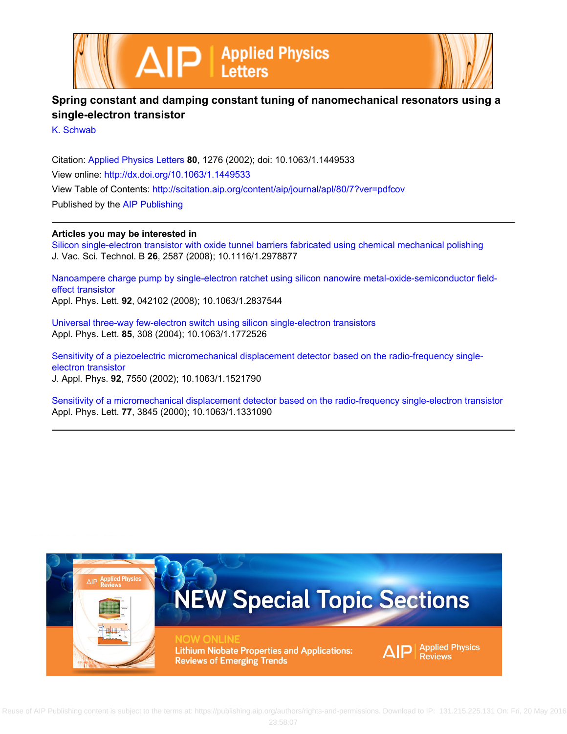



## **Spring constant and damping constant tuning of nanomechanical resonators using a single-electron transistor**

[K. Schwab](http://scitation.aip.org/search?value1=K.+Schwab&option1=author)

Citation: [Applied Physics Letters](http://scitation.aip.org/content/aip/journal/apl?ver=pdfcov) **80**, 1276 (2002); doi: 10.1063/1.1449533 View online: <http://dx.doi.org/10.1063/1.1449533> View Table of Contents: <http://scitation.aip.org/content/aip/journal/apl/80/7?ver=pdfcov> Published by the [AIP Publishing](http://scitation.aip.org/content/aip?ver=pdfcov)

## **Articles you may be interested in**

[Silicon single-electron transistor with oxide tunnel barriers fabricated using chemical mechanical polishing](http://scitation.aip.org/content/avs/journal/jvstb/26/6/10.1116/1.2978877?ver=pdfcov) J. Vac. Sci. Technol. B **26**, 2587 (2008); 10.1116/1.2978877

[Nanoampere charge pump by single-electron ratchet using silicon nanowire metal-oxide-semiconductor field](http://scitation.aip.org/content/aip/journal/apl/92/4/10.1063/1.2837544?ver=pdfcov)[effect transistor](http://scitation.aip.org/content/aip/journal/apl/92/4/10.1063/1.2837544?ver=pdfcov) Appl. Phys. Lett. **92**, 042102 (2008); 10.1063/1.2837544

[Universal three-way few-electron switch using silicon single-electron transistors](http://scitation.aip.org/content/aip/journal/apl/85/2/10.1063/1.1772526?ver=pdfcov) Appl. Phys. Lett. **85**, 308 (2004); 10.1063/1.1772526

[Sensitivity of a piezoelectric micromechanical displacement detector based on the radio-frequency single](http://scitation.aip.org/content/aip/journal/jap/92/12/10.1063/1.1521790?ver=pdfcov)[electron transistor](http://scitation.aip.org/content/aip/journal/jap/92/12/10.1063/1.1521790?ver=pdfcov) J. Appl. Phys. **92**, 7550 (2002); 10.1063/1.1521790

[Sensitivity of a micromechanical displacement detector based on the radio-frequency single-electron transistor](http://scitation.aip.org/content/aip/journal/apl/77/23/10.1063/1.1331090?ver=pdfcov) Appl. Phys. Lett. **77**, 3845 (2000); 10.1063/1.1331090

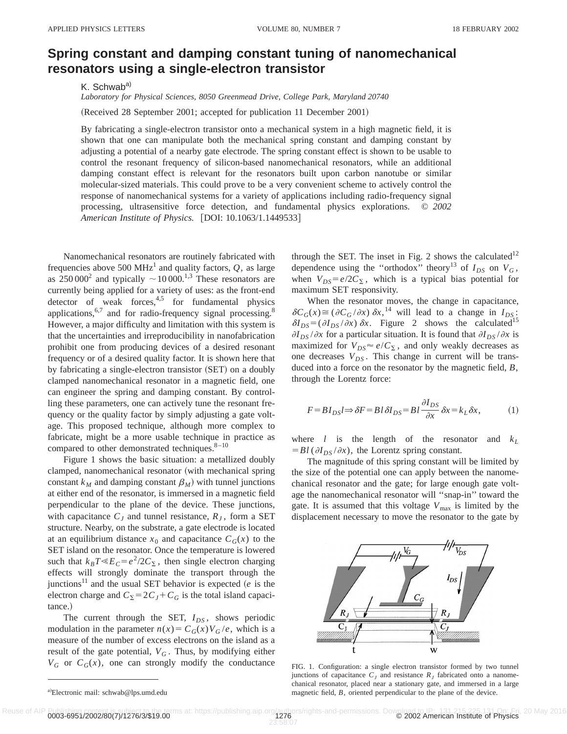## **Spring constant and damping constant tuning of nanomechanical resonators using a single-electron transistor**

K. Schwab<sup>a)</sup>

*Laboratory for Physical Sciences, 8050 Greenmead Drive, College Park, Maryland 20740*

(Received 28 September 2001; accepted for publication 11 December 2001)

By fabricating a single-electron transistor onto a mechanical system in a high magnetic field, it is shown that one can manipulate both the mechanical spring constant and damping constant by adjusting a potential of a nearby gate electrode. The spring constant effect is shown to be usable to control the resonant frequency of silicon-based nanomechanical resonators, while an additional damping constant effect is relevant for the resonators built upon carbon nanotube or similar molecular-sized materials. This could prove to be a very convenient scheme to actively control the response of nanomechanical systems for a variety of applications including radio-frequency signal processing, ultrasensitive force detection, and fundamental physics explorations. © *2002* American Institute of Physics. [DOI: 10.1063/1.1449533]

Nanomechanical resonators are routinely fabricated with frequencies above 500 MHz<sup>1</sup> and quality factors,  $Q$ , as large as  $250\,000^2$  and typically  $\sim 10\,000$ .<sup>1,3</sup> These resonators are currently being applied for a variety of uses: as the front-end detector of weak forces, $4.5$  for fundamental physics applications,  $6,7$  and for radio-frequency signal processing.<sup>8</sup> However, a major difficulty and limitation with this system is that the uncertainties and irreproducibility in nanofabrication prohibit one from producing devices of a desired resonant frequency or of a desired quality factor. It is shown here that by fabricating a single-electron transistor (SET) on a doubly clamped nanomechanical resonator in a magnetic field, one can engineer the spring and damping constant. By controlling these parameters, one can actively tune the resonant frequency or the quality factor by simply adjusting a gate voltage. This proposed technique, although more complex to fabricate, might be a more usable technique in practice as compared to other demonstrated techniques. $8-10$ 

Figure 1 shows the basic situation: a metallized doubly clamped, nanomechanical resonator (with mechanical spring constant  $k_M$  and damping constant  $\beta_M$ ) with tunnel junctions at either end of the resonator, is immersed in a magnetic field perpendicular to the plane of the device. These junctions, with capacitance  $C_J$  and tunnel resistance,  $R_J$ , form a SET structure. Nearby, on the substrate, a gate electrode is located at an equilibrium distance  $x_0$  and capacitance  $C_G(x)$  to the SET island on the resonator. Once the temperature is lowered such that  $k_B T \ll E_C = e^2/2C_\Sigma$ , then single electron charging effects will strongly dominate the transport through the junctions<sup>11</sup> and the usual SET behavior is expected  $(e$  is the electron charge and  $C_{\Sigma} = 2C_J + C_G$  is the total island capacitance.)

The current through the SET,  $I_{DS}$ , shows periodic modulation in the parameter  $n(x) = C_G(x)V_G/e$ , which is a measure of the number of excess electrons on the island as a result of the gate potential,  $V_G$ . Thus, by modifying either  $V_G$  or  $C_G(x)$ , one can strongly modify the conductance through the SET. The inset in Fig. 2 shows the calculated<sup>12</sup> dependence using the "orthodox" theory<sup>13</sup> of  $I_{DS}$  on  $V_G$ , when  $V_{DS} = e/2C_{\Sigma}$ , which is a typical bias potential for maximum SET responsivity.

When the resonator moves, the change in capacitance,  $\delta C_G(x) \cong (\partial C_G/\partial x) \, \delta x$ <sup>14</sup>, will lead to a change in  $I_{DS}$ :  $\delta I_{DS} = (\partial I_{DS}/\partial x) \,\delta x$ . Figure 2 shows the calculated<sup>15</sup>  $\partial I_{DS}/\partial x$  for a particular situation. It is found that  $\partial I_{DS}/\partial x$  is maximized for  $V_{DS} \approx e/C_{\Sigma}$ , and only weakly decreases as one decreases  $V_{DS}$ . This change in current will be transduced into a force on the resonator by the magnetic field, *B*, through the Lorentz force:

$$
F = BI_{DS} l \Rightarrow \delta F = B l \,\delta I_{DS} = B l \frac{\partial I_{DS}}{\partial x} \,\delta x = k_L \,\delta x,\tag{1}
$$

where *l* is the length of the resonator and  $k_L$  $=Bl(\partial I_{DS}/\partial x)$ , the Lorentz spring constant.

The magnitude of this spring constant will be limited by the size of the potential one can apply between the nanomechanical resonator and the gate; for large enough gate voltage the nanomechanical resonator will ''snap-in'' toward the gate. It is assumed that this voltage  $V_{\text{max}}$  is limited by the displacement necessary to move the resonator to the gate by



FIG. 1. Configuration: a single electron transistor formed by two tunnel junctions of capacitance  $C_I$  and resistance  $R_I$  fabricated onto a nanomechanical resonator, placed near a stationary gate, and immersed in a large magnetic field, *B*, oriented perpendicular to the plane of the device.

a)Electronic mail: schwab@lps.umd.edu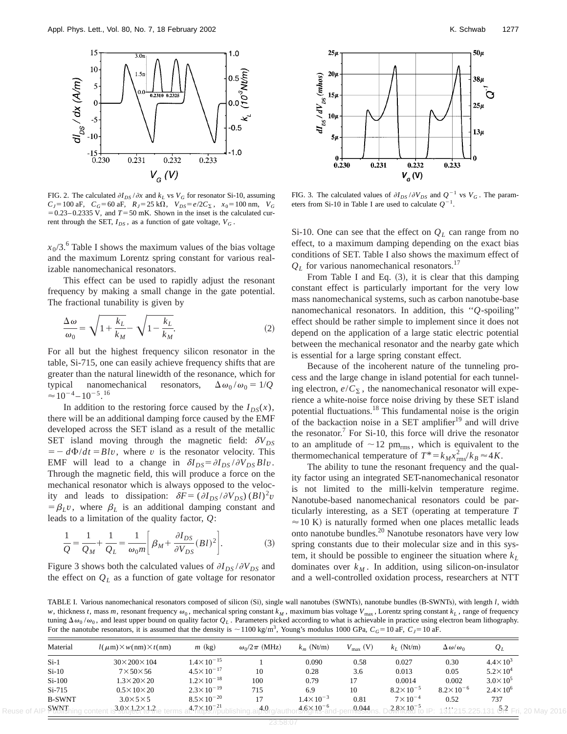

FIG. 2. The calculated  $\partial I_{DS}/\partial x$  and  $k_L$  vs  $V_G$  for resonator Si-10, assuming  $C_J$ =100 aF,  $C_G$ =60 aF,  $R_J$ =25 k $\Omega$ ,  $V_{DS}$ = $e/2C_{\Sigma}$ ,  $x_0$ =100 nm,  $V_G$  $= 0.23-0.2335$  V, and  $T = 50$  mK. Shown in the inset is the calculated current through the SET,  $I_{DS}$ , as a function of gate voltage,  $V_G$ .

 $x_0/3$ <sup>6</sup>. Table I shows the maximum values of the bias voltage and the maximum Lorentz spring constant for various realizable nanomechanical resonators.

This effect can be used to rapidly adjust the resonant frequency by making a small change in the gate potential. The fractional tunability is given by

$$
\frac{\Delta \omega}{\omega_0} = \sqrt{1 + \frac{k_L}{k_M}} - \sqrt{1 - \frac{k_L}{k_M}}.\tag{2}
$$

For all but the highest frequency silicon resonator in the table, Si-715, one can easily achieve frequency shifts that are greater than the natural linewidth of the resonance, which for typical nanomechanical resonators,  $\Delta \omega_0 / \omega_0 = 1/Q$  $\approx$  10<sup>-4</sup> – 10<sup>-5</sup>.<sup>16</sup>

In addition to the restoring force caused by the  $I_{DS}(x)$ , there will be an additional damping force caused by the EMF developed across the SET island as a result of the metallic SET island moving through the magnetic field:  $\delta V_{DS}$  $= -d\Phi/dt = Blv$ , where *v* is the resonator velocity. This EMF will lead to a change in  $\delta I_{DS} = \partial I_{DS} / \partial V_{DS} B l v$ . Through the magnetic field, this will produce a force on the mechanical resonator which is always opposed to the velocity and leads to dissipation:  $\delta F = (\partial I_{DS}/\partial V_{DS}) (B l)^2 v$  $=$  $\beta_L v$ , where  $\beta_L$  is an additional damping constant and leads to a limitation of the quality factor, *Q*:

$$
\frac{1}{Q} = \frac{1}{Q_M} + \frac{1}{Q_L} = \frac{1}{\omega_0 m} \left[ \beta_M + \frac{\partial I_{DS}}{\partial V_{DS}} (B \, l)^2 \right]. \tag{3}
$$

Figure 3 shows both the calculated values of  $\partial I_{DS}/\partial V_{DS}$  and the effect on  $Q_L$  as a function of gate voltage for resonator



FIG. 3. The calculated values of  $\partial I_{DS}/\partial V_{DS}$  and  $Q^{-1}$  vs  $V_G$ . The parameters from Si-10 in Table I are used to calculate  $Q^{-1}$ .

Si-10. One can see that the effect on  $Q_L$  can range from no effect, to a maximum damping depending on the exact bias conditions of SET. Table I also shows the maximum effect of  $Q_L$  for various nanomechanical resonators.<sup>17</sup>

From Table I and Eq.  $(3)$ , it is clear that this damping constant effect is particularly important for the very low mass nanomechanical systems, such as carbon nanotube-base nanomechanical resonators. In addition, this ''*Q*-spoiling'' effect should be rather simple to implement since it does not depend on the application of a large static electric potential between the mechanical resonator and the nearby gate which is essential for a large spring constant effect.

Because of the incoherent nature of the tunneling process and the large change in island potential for each tunneling electron,  $e/C_{\Sigma}$ , the nanomechanical resonator will experience a white-noise force noise driving by these SET island potential fluctuations.18 This fundamental noise is the origin of the backaction noise in a SET amplifier $19$  and will drive the resonator. $7$  For Si-10, this force will drive the resonator to an amplitude of  $\sim$  12 pm<sub>rms</sub>, which is equivalent to the thermomechanical temperature of  $T^* = k_M x_{\text{rms}}^2 / k_B \approx 4K$ .

The ability to tune the resonant frequency and the quality factor using an integrated SET-nanomechanical resonator is not limited to the milli-kelvin temperature regime. Nanotube-based nanomechanical resonators could be particularly interesting, as a SET (operating at temperature *T*  $\approx$  10 K) is naturally formed when one places metallic leads onto nanotube bundles.20 Nanotube resonators have very low spring constants due to their molecular size and in this system, it should be possible to engineer the situation where  $k_L$ dominates over  $k_M$ . In addition, using silicon-on-insulator and a well-controlled oxidation process, researchers at NTT

TABLE I. Various nanomechanical resonators composed of silicon (Si), single wall nanotubes (SWNTs), nanotube bundles (B-SWNTs), with length *l*, width *w*, thickness *t*, mass *m*, resonant frequency  $\omega_0$ , mechanical spring constant  $k_M$ , maximum bias voltage  $V_{\text{max}}$ , Lorentz spring constant  $k_L$ , range of frequency tuning  $\Delta\omega_0/\omega_0$ , and least upper bound on quality factor  $Q_L$ . Parameters picked according to what is achievable in practice using electron beam lithography. For the nanotube resonators, it is assumed that the density is  $\sim$ 1100 kg/m<sup>3</sup>, Young's modulus 1000 GPa,  $C_G$ =10 aF,  $C_J$ =10 aF.

| Material      | $l(\mu m) \times w(nm) \times t(nm)$ | $m$ (kg)              | $\omega_0/2\pi$ (MHz) | $k_m$ (Nt/m)         | $V_{\text{max}}$ (V) | $k_I$ (Nt/m)         | $\Delta \omega / \omega_0$        | $Q_L$               |
|---------------|--------------------------------------|-----------------------|-----------------------|----------------------|----------------------|----------------------|-----------------------------------|---------------------|
| $Si-1$        | $30 \times 200 \times 104$           | $1.4 \times 10^{-15}$ |                       | 0.090                | 0.58                 | 0.027                | 0.30                              | $4.4 \times 10^{3}$ |
| $Si-10$       | $7\times50\times56$                  | $4.5 \times 10^{-17}$ | 10                    | 0.28                 | 3.6                  | 0.013                | 0.05                              | $5.2 \times 10^{4}$ |
| $Si-100$      | $1.3\times20\times20$                | $1.2 \times 10^{-18}$ | 100                   | 0.79                 |                      | 0.0014               | 0.002                             | $3.0 \times 10^5$   |
| $Si-715$      | $0.5 \times 10 \times 20$            | $2.3 \times 10^{-19}$ | 715                   | 6.9                  | 10                   | $8.2 \times 10^{-5}$ | $8.2 \times 10^{-6}$              | $2.4 \times 10^{6}$ |
| <b>B-SWNT</b> | $3.0\times5\times5$                  | $8.5 \times 10^{-20}$ | 17                    | $1.4 \times 10^{-3}$ | 0.81                 | $7 \times 10^{-4}$   | 0.52                              | 737                 |
| <b>SWNT</b>   | $3.0 \times 1.2 \times 1.2$          | $4.7\times10^{-21}$   | 4.0                   | $4.6\times10^{-6}$   | 0.044                | $2.8 \times 10^{-5}$ | $-4.94$ , 045, 005, 104<br>$\Box$ | $5.2$ $-$           |